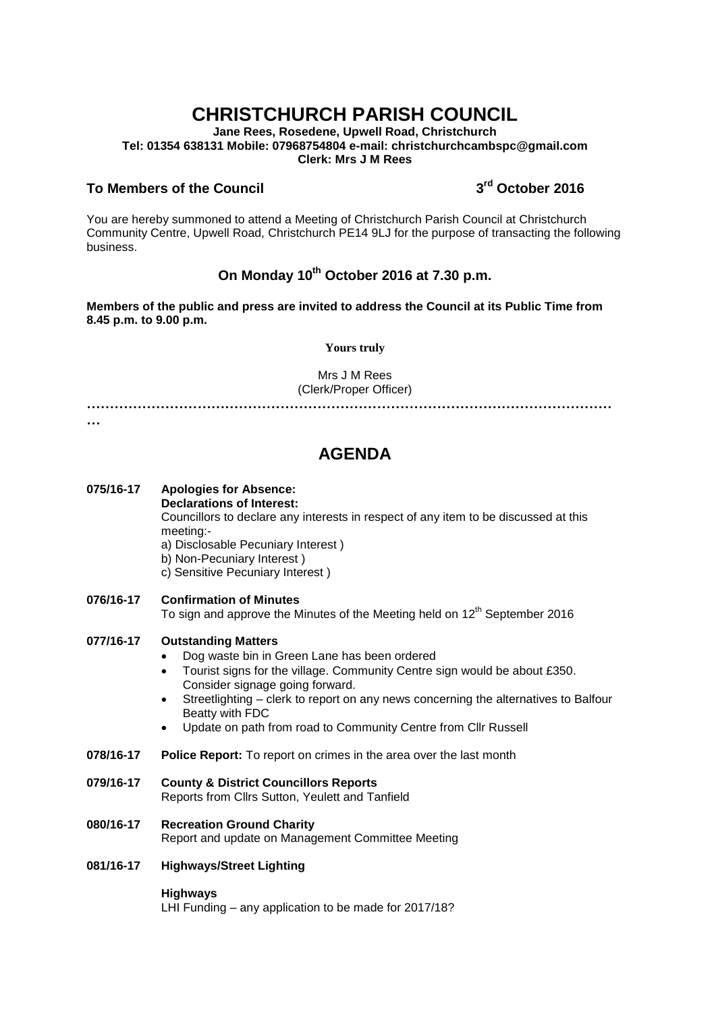# **CHRISTCHURCH PARISH COUNCIL**

**Jane Rees, Rosedene, Upwell Road, Christchurch Tel: 01354 638131 Mobile: 07968754804 e-mail: christchurchcambspc@gmail.com Clerk: Mrs J M Rees**

# **To Members of the Council 3**

# **rd October 2016**

You are hereby summoned to attend a Meeting of Christchurch Parish Council at Christchurch Community Centre, Upwell Road, Christchurch PE14 9LJ for the purpose of transacting the following business.

# **On Monday 10th October 2016 at 7.30 p.m.**

**Members of the public and press are invited to address the Council at its Public Time from 8.45 p.m. to 9.00 p.m.** 

### **Yours truly**

Mrs J M Rees (Clerk/Proper Officer)

**……………………………………………………………………………………………………**

**…**

# **AGENDA**

# **075/16-17 Apologies for Absence: Declarations of Interest:**

Councillors to declare any interests in respect of any item to be discussed at this meeting:-

a) Disclosable Pecuniary Interest )

- b) Non-Pecuniary Interest )
- c) Sensitive Pecuniary Interest )
- **076/16-17 Confirmation of Minutes**

To sign and approve the Minutes of the Meeting held on  $12<sup>th</sup>$  September 2016

## **077/16-17 Outstanding Matters**

- Dog waste bin in Green Lane has been ordered
- Tourist signs for the village. Community Centre sign would be about £350. Consider signage going forward.
- Streetlighting clerk to report on any news concerning the alternatives to Balfour Beatty with FDC
- Update on path from road to Community Centre from Cllr Russell
- **078/16-17 Police Report:** To report on crimes in the area over the last month
- **079/16-17 County & District Councillors Reports**

Reports from Cllrs Sutton, Yeulett and Tanfield

- **080/16-17 Recreation Ground Charity**  Report and update on Management Committee Meeting
- **081/16-17 Highways/Street Lighting**

#### **Highways**

LHI Funding – any application to be made for 2017/18?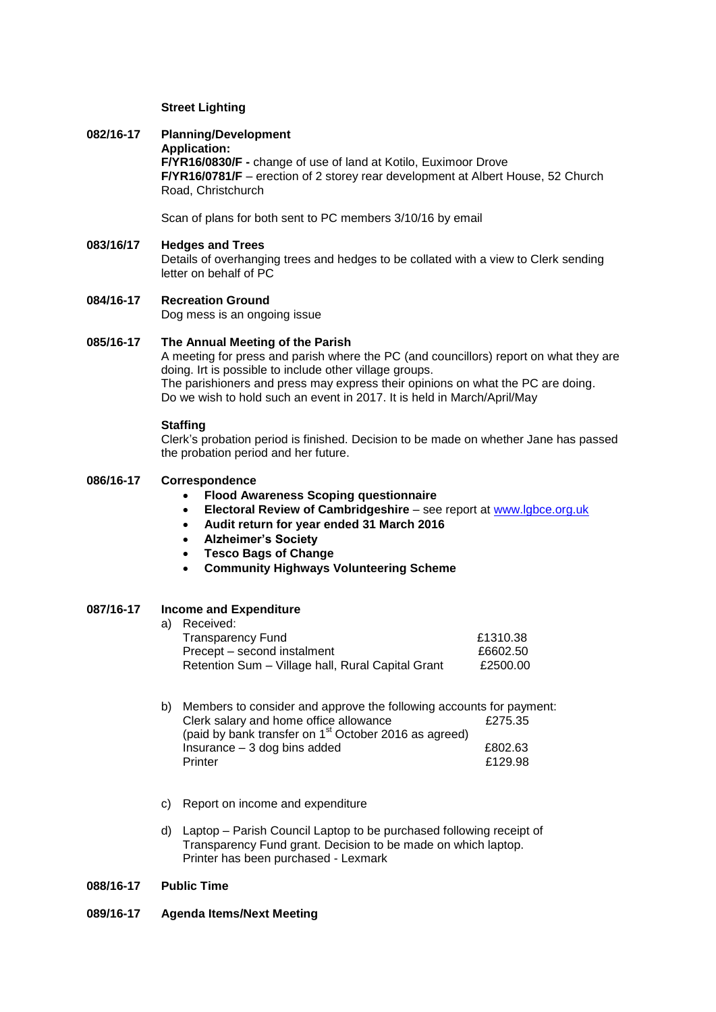#### **Street Lighting**

## **082/16-17 Planning/Development**

**Application: F/YR16/0830/F -** change of use of land at Kotilo, Euximoor Drove **F/YR16/0781/F** – erection of 2 storey rear development at Albert House, 52 Church Road, Christchurch

Scan of plans for both sent to PC members 3/10/16 by email

# **083/16/17 Hedges and Trees** Details of overhanging trees and hedges to be collated with a view to Clerk sending letter on behalf of PC

### **084/16-17 Recreation Ground** Dog mess is an ongoing issue

#### **085/16-17 The Annual Meeting of the Parish**

A meeting for press and parish where the PC (and councillors) report on what they are doing. Irt is possible to include other village groups. The parishioners and press may express their opinions on what the PC are doing. Do we wish to hold such an event in 2017. It is held in March/April/May

#### **Staffing**

Clerk's probation period is finished. Decision to be made on whether Jane has passed the probation period and her future.

# **086/16-17 Correspondence**

- **Flood Awareness Scoping questionnaire**
- **Electoral Review of Cambridgeshire** see report at [www.lgbce.org.uk](http://www.lgbce.org.uk/)
- **Audit return for year ended 31 March 2016**
- **Alzheimer's Society**
- **Tesco Bags of Change**
- **Community Highways Volunteering Scheme**

## **087/16-17 Income and Expenditure**

|  | a) Received:                                      |          |
|--|---------------------------------------------------|----------|
|  | <b>Transparency Fund</b>                          | £1310.38 |
|  | Precept – second instalment                       | £6602.50 |
|  | Retention Sum - Village hall, Rural Capital Grant | £2500.00 |
|  |                                                   |          |

|  | b) Members to consider and approve the following accounts for payment: |         |
|--|------------------------------------------------------------------------|---------|
|  | Clerk salary and home office allowance                                 | £275.35 |
|  | (paid by bank transfer on 1 <sup>st</sup> October 2016 as agreed)      |         |
|  | Insurance $-3$ dog bins added                                          | £802.63 |
|  | Printer                                                                | £129.98 |

- c) Report on income and expenditure
- d) Laptop Parish Council Laptop to be purchased following receipt of Transparency Fund grant. Decision to be made on which laptop. Printer has been purchased - Lexmark

#### **088/16-17 Public Time**

#### **089/16-17 Agenda Items/Next Meeting**